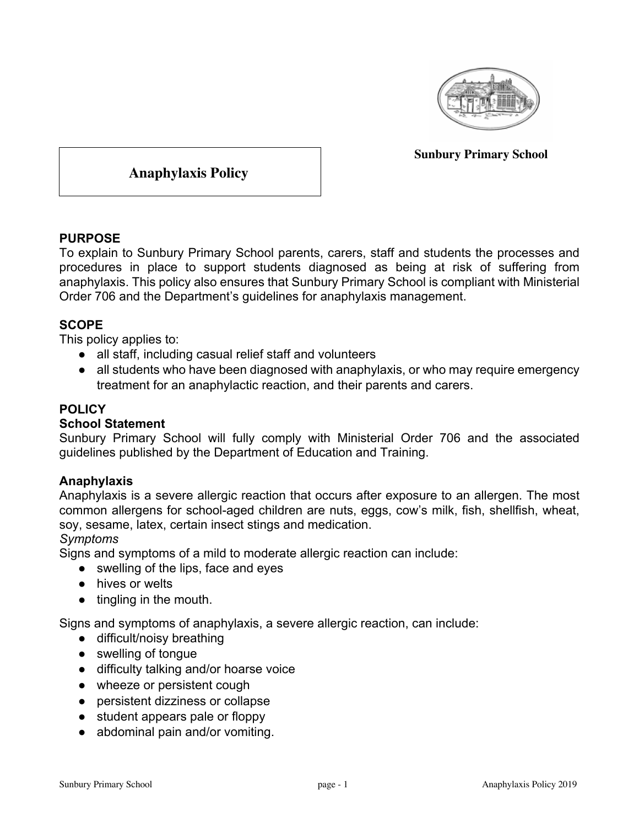

**Sunbury Primary School**

**Anaphylaxis Policy**

### **PURPOSE**

To explain to Sunbury Primary School parents, carers, staff and students the processes and procedures in place to support students diagnosed as being at risk of suffering from anaphylaxis. This policy also ensures that Sunbury Primary School is compliant with Ministerial Order 706 and the Department's guidelines for anaphylaxis management.

### **SCOPE**

This policy applies to:

- all staff, including casual relief staff and volunteers
- all students who have been diagnosed with anaphylaxis, or who may require emergency treatment for an anaphylactic reaction, and their parents and carers.

# **POLICY**

#### **School Statement**

Sunbury Primary School will fully comply with Ministerial Order 706 and the associated guidelines published by the Department of Education and Training.

#### **Anaphylaxis**

Anaphylaxis is a severe allergic reaction that occurs after exposure to an allergen. The most common allergens for school-aged children are nuts, eggs, cow's milk, fish, shellfish, wheat, soy, sesame, latex, certain insect stings and medication.

#### *Symptoms*

Signs and symptoms of a mild to moderate allergic reaction can include:

- swelling of the lips, face and eyes
- hives or welts
- tingling in the mouth.

Signs and symptoms of anaphylaxis, a severe allergic reaction, can include:

- difficult/noisy breathing
- swelling of tongue
- difficulty talking and/or hoarse voice
- wheeze or persistent cough
- persistent dizziness or collapse
- student appears pale or floppy
- abdominal pain and/or vomiting.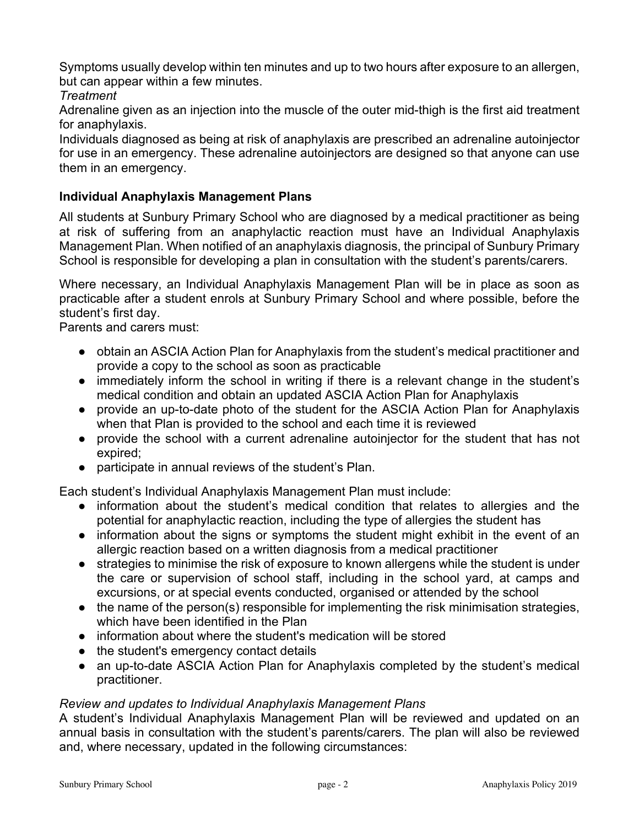Symptoms usually develop within ten minutes and up to two hours after exposure to an allergen, but can appear within a few minutes.

## *Treatment*

Adrenaline given as an injection into the muscle of the outer mid-thigh is the first aid treatment for anaphylaxis.

Individuals diagnosed as being at risk of anaphylaxis are prescribed an adrenaline autoinjector for use in an emergency. These adrenaline autoinjectors are designed so that anyone can use them in an emergency.

# **Individual Anaphylaxis Management Plans**

All students at Sunbury Primary School who are diagnosed by a medical practitioner as being at risk of suffering from an anaphylactic reaction must have an Individual Anaphylaxis Management Plan. When notified of an anaphylaxis diagnosis, the principal of Sunbury Primary School is responsible for developing a plan in consultation with the student's parents/carers.

Where necessary, an Individual Anaphylaxis Management Plan will be in place as soon as practicable after a student enrols at Sunbury Primary School and where possible, before the student's first day.

Parents and carers must:

- obtain an ASCIA Action Plan for Anaphylaxis from the student's medical practitioner and provide a copy to the school as soon as practicable
- immediately inform the school in writing if there is a relevant change in the student's medical condition and obtain an updated ASCIA Action Plan for Anaphylaxis
- provide an up-to-date photo of the student for the ASCIA Action Plan for Anaphylaxis when that Plan is provided to the school and each time it is reviewed
- provide the school with a current adrenaline autoinjector for the student that has not expired;
- participate in annual reviews of the student's Plan.

Each student's Individual Anaphylaxis Management Plan must include:

- information about the student's medical condition that relates to allergies and the potential for anaphylactic reaction, including the type of allergies the student has
- information about the signs or symptoms the student might exhibit in the event of an allergic reaction based on a written diagnosis from a medical practitioner
- strategies to minimise the risk of exposure to known allergens while the student is under the care or supervision of school staff, including in the school yard, at camps and excursions, or at special events conducted, organised or attended by the school
- the name of the person(s) responsible for implementing the risk minimisation strategies, which have been identified in the Plan
- information about where the student's medication will be stored
- the student's emergency contact details
- an up-to-date ASCIA Action Plan for Anaphylaxis completed by the student's medical practitioner.

#### *Review and updates to Individual Anaphylaxis Management Plans*

A student's Individual Anaphylaxis Management Plan will be reviewed and updated on an annual basis in consultation with the student's parents/carers. The plan will also be reviewed and, where necessary, updated in the following circumstances: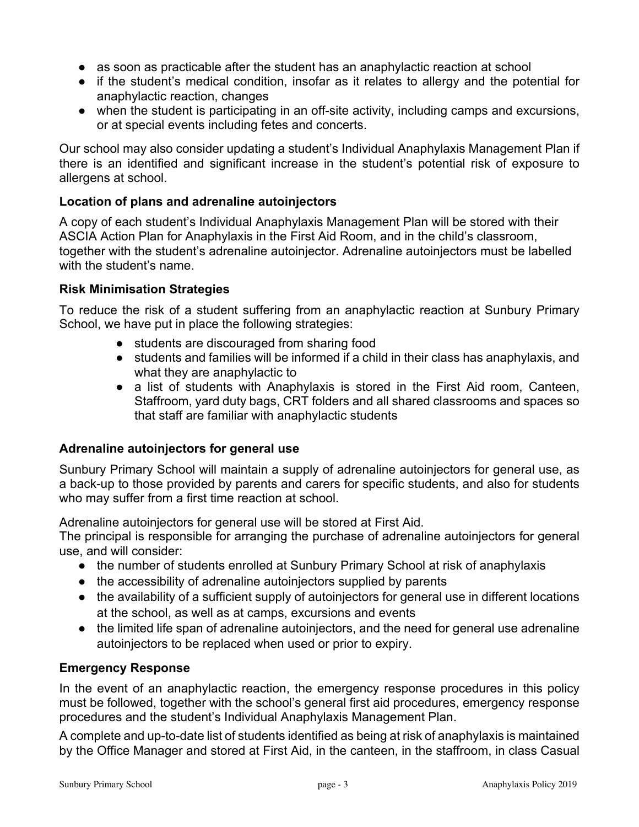- as soon as practicable after the student has an anaphylactic reaction at school
- if the student's medical condition, insofar as it relates to allergy and the potential for anaphylactic reaction, changes
- when the student is participating in an off-site activity, including camps and excursions, or at special events including fetes and concerts.

Our school may also consider updating a student's Individual Anaphylaxis Management Plan if there is an identified and significant increase in the student's potential risk of exposure to allergens at school.

## **Location of plans and adrenaline autoinjectors**

A copy of each student's Individual Anaphylaxis Management Plan will be stored with their ASCIA Action Plan for Anaphylaxis in the First Aid Room, and in the child's classroom, together with the student's adrenaline autoinjector. Adrenaline autoinjectors must be labelled with the student's name.

#### **Risk Minimisation Strategies**

To reduce the risk of a student suffering from an anaphylactic reaction at Sunbury Primary School, we have put in place the following strategies:

- students are discouraged from sharing food
- students and families will be informed if a child in their class has anaphylaxis, and what they are anaphylactic to
- a list of students with Anaphylaxis is stored in the First Aid room, Canteen, Staffroom, yard duty bags, CRT folders and all shared classrooms and spaces so that staff are familiar with anaphylactic students

#### **Adrenaline autoinjectors for general use**

Sunbury Primary School will maintain a supply of adrenaline autoinjectors for general use, as a back-up to those provided by parents and carers for specific students, and also for students who may suffer from a first time reaction at school.

Adrenaline autoinjectors for general use will be stored at First Aid.

The principal is responsible for arranging the purchase of adrenaline autoinjectors for general use, and will consider:

- the number of students enrolled at Sunbury Primary School at risk of anaphylaxis
- the accessibility of adrenaline autoinjectors supplied by parents
- the availability of a sufficient supply of autoinjectors for general use in different locations at the school, as well as at camps, excursions and events
- the limited life span of adrenaline autoinjectors, and the need for general use adrenaline autoinjectors to be replaced when used or prior to expiry.

# **Emergency Response**

In the event of an anaphylactic reaction, the emergency response procedures in this policy must be followed, together with the school's general first aid procedures, emergency response procedures and the student's Individual Anaphylaxis Management Plan.

A complete and up-to-date list of students identified as being at risk of anaphylaxis is maintained by the Office Manager and stored at First Aid, in the canteen, in the staffroom, in class Casual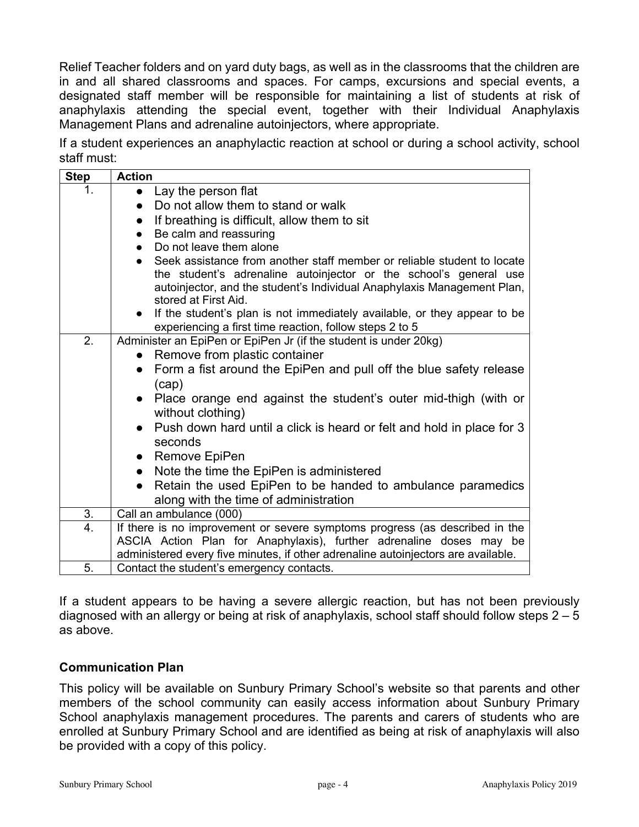Relief Teacher folders and on yard duty bags, as well as in the classrooms that the children are in and all shared classrooms and spaces. For camps, excursions and special events, a designated staff member will be responsible for maintaining a list of students at risk of anaphylaxis attending the special event, together with their Individual Anaphylaxis Management Plans and adrenaline autoinjectors, where appropriate.

If a student experiences an anaphylactic reaction at school or during a school activity, school staff must:

| <b>Step</b> | <b>Action</b>                                                                                                                                                                                                                                   |
|-------------|-------------------------------------------------------------------------------------------------------------------------------------------------------------------------------------------------------------------------------------------------|
| 1.          | Lay the person flat                                                                                                                                                                                                                             |
|             | Do not allow them to stand or walk                                                                                                                                                                                                              |
|             | If breathing is difficult, allow them to sit                                                                                                                                                                                                    |
|             | Be calm and reassuring<br>$\bullet$                                                                                                                                                                                                             |
|             | Do not leave them alone                                                                                                                                                                                                                         |
|             | Seek assistance from another staff member or reliable student to locate<br>the student's adrenaline autoinjector or the school's general use<br>autoinjector, and the student's Individual Anaphylaxis Management Plan,<br>stored at First Aid. |
|             | If the student's plan is not immediately available, or they appear to be<br>experiencing a first time reaction, follow steps 2 to 5                                                                                                             |
| 2.          | Administer an EpiPen or EpiPen Jr (if the student is under 20kg)                                                                                                                                                                                |
|             | Remove from plastic container                                                                                                                                                                                                                   |
|             | Form a fist around the EpiPen and pull off the blue safety release<br>$\bullet$<br>(cap)                                                                                                                                                        |
|             | Place orange end against the student's outer mid-thigh (with or<br>$\bullet$<br>without clothing)                                                                                                                                               |
|             | Push down hard until a click is heard or felt and hold in place for 3<br>seconds                                                                                                                                                                |
|             | Remove EpiPen<br>$\bullet$                                                                                                                                                                                                                      |
|             | Note the time the EpiPen is administered                                                                                                                                                                                                        |
|             | Retain the used EpiPen to be handed to ambulance paramedics<br>$\bullet$                                                                                                                                                                        |
|             | along with the time of administration                                                                                                                                                                                                           |
| 3.          | Call an ambulance (000)                                                                                                                                                                                                                         |
| 4.          | If there is no improvement or severe symptoms progress (as described in the                                                                                                                                                                     |
|             | ASCIA Action Plan for Anaphylaxis), further adrenaline doses may be                                                                                                                                                                             |
| 5.          | administered every five minutes, if other adrenaline autoinjectors are available.                                                                                                                                                               |
|             | Contact the student's emergency contacts.                                                                                                                                                                                                       |

If a student appears to be having a severe allergic reaction, but has not been previously diagnosed with an allergy or being at risk of anaphylaxis, school staff should follow steps 2 – 5 as above.

#### **Communication Plan**

This policy will be available on Sunbury Primary School's website so that parents and other members of the school community can easily access information about Sunbury Primary School anaphylaxis management procedures. The parents and carers of students who are enrolled at Sunbury Primary School and are identified as being at risk of anaphylaxis will also be provided with a copy of this policy.